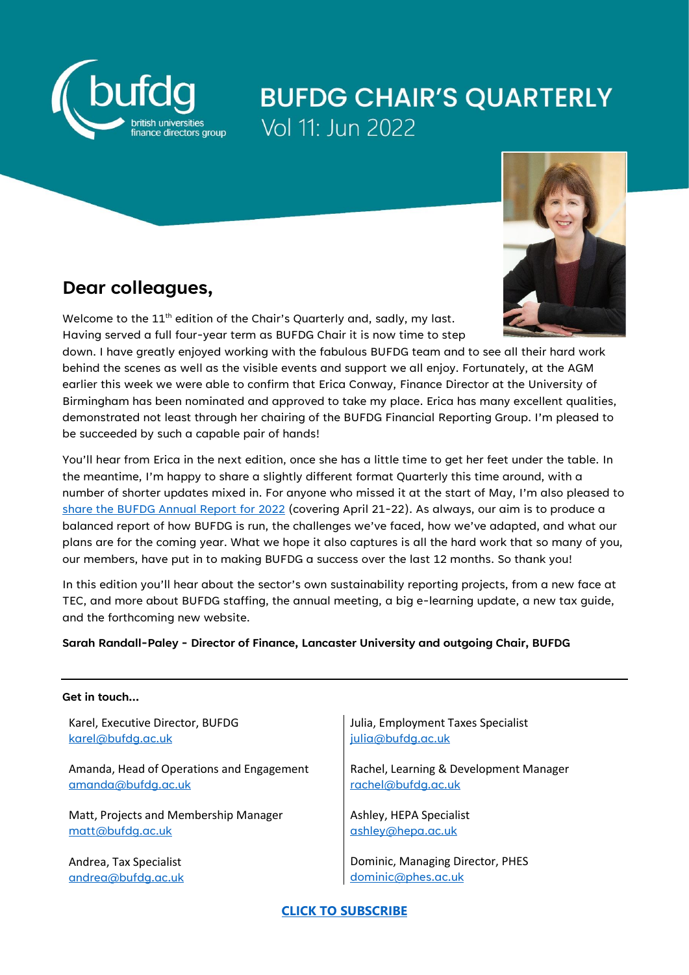

# **BUFDG CHAIR'S QUARTERLY** Vol 11: Jun 2022



### **Dear colleagues,**

Welcome to the 11<sup>th</sup> edition of the Chair's Quarterly and, sadly, my last. Having served a full four-year term as BUFDG Chair it is now time to step

down. I have greatly enjoyed working with the fabulous BUFDG team and to see all their hard work behind the scenes as well as the visible events and support we all enjoy. Fortunately, at the AGM earlier this week we were able to confirm that Erica Conway, Finance Director at the University of Birmingham has been nominated and approved to take my place. Erica has many excellent qualities, demonstrated not least through her chairing of the BUFDG Financial Reporting Group. I'm pleased to be succeeded by such a capable pair of hands!

You'll hear from Erica in the next edition, once she has a little time to get her feet under the table. In the meantime, I'm happy to share a slightly different format Quarterly this time around, with a number of shorter updates mixed in. For anyone who missed it at the start of May, I'm also pleased to [share the BUFDG Annual Report for 2022](https://www.bufdg.ac.uk/ViewDocument.aspx?t=1&ID=15392&GUID=983fe557-f3e8-4365-8902-31ce37da8ac5&dl=1) (covering April 21-22). As always, our aim is to produce a balanced report of how BUFDG is run, the challenges we've faced, how we've adapted, and what our plans are for the coming year. What we hope it also captures is all the hard work that so many of you, our members, have put in to making BUFDG a success over the last 12 months. So thank you!

In this edition you'll hear about the sector's own sustainability reporting projects, from a new face at TEC, and more about BUFDG staffing, the annual meeting, a big e-learning update, a new tax guide, and the forthcoming new website.

### **Sarah Randall-Paley - Director of Finance, Lancaster University and outgoing Chair, BUFDG**

### **Get in touch…**

Karel, Executive Director, BUFDG [karel@bufdg.ac.uk](mailto:karel@bufdg.ac.uk)

Amanda, Head of Operations and Engagement [amanda@bufdg.ac.uk](mailto:amanda@bufdg.ac.uk)

Matt, Projects and Membership Manager [matt@bufdg.ac.uk](mailto:matt@bufdg.ac.uk)

Andrea, Tax Specialist [andrea@bufdg.ac.uk](mailto:andrea@bufdg.ac.uk) Julia, Employment Taxes Specialist [julia@bufdg.ac.uk](mailto:julia@bufdg.ac.uk)

Rachel, Learning & Development Manager [rachel@bufdg.ac.uk](mailto:rachel@bufdg.ac.uk)

Ashley, HEPA Specialist [ashley@hepa.ac.uk](mailto:ashley@hepa.ac.uk)

Dominic, Managing Director, PHES [dominic@phes.ac.uk](mailto:dominic@phes.ac.uk)

**[CLICK TO SUBSCRIBE](https://bufdg.us14.list-manage.com/track/click?u=6722d2b2b7d330a4019ea1d6c&id=e2307b1779&e=9c6bf76166)**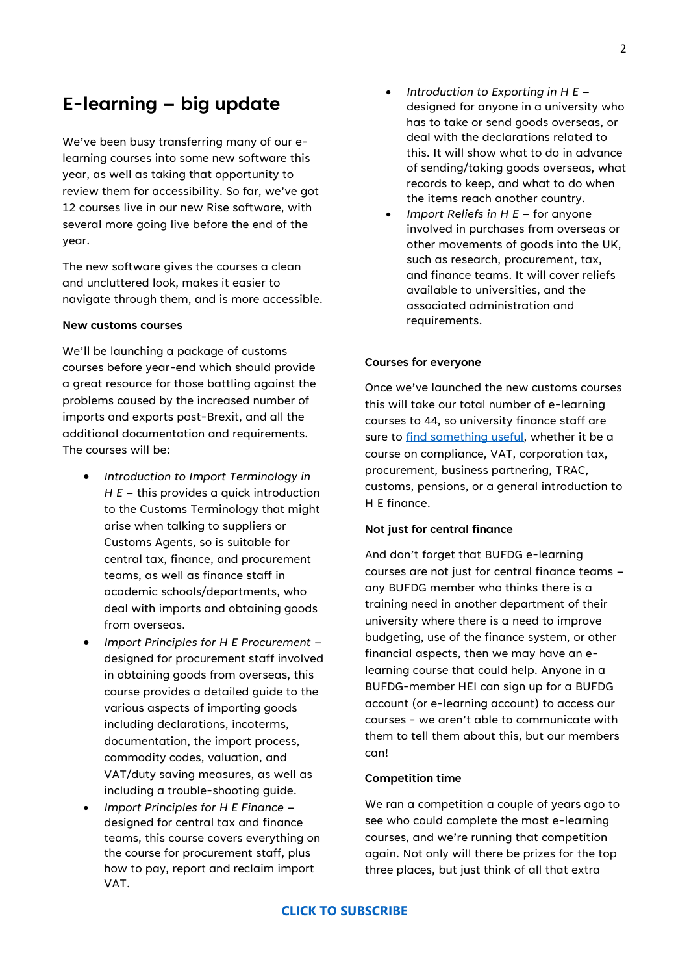### **E-learning – big update**

We've been busy transferring many of our elearning courses into some new software this year, as well as taking that opportunity to review them for accessibility. So far, we've got 12 courses live in our new Rise software, with several more going live before the end of the year.

The new software gives the courses a clean and uncluttered look, makes it easier to navigate through them, and is more accessible.

### **New customs courses**

We'll be launching a package of customs courses before year-end which should provide a great resource for those battling against the problems caused by the increased number of imports and exports post-Brexit, and all the additional documentation and requirements. The courses will be:

- *Introduction to Import Terminology in H E* – this provides a quick introduction to the Customs Terminology that might arise when talking to suppliers or Customs Agents, so is suitable for central tax, finance, and procurement teams, as well as finance staff in academic schools/departments, who deal with imports and obtaining goods from overseas.
- *Import Principles for H E Procurement* designed for procurement staff involved in obtaining goods from overseas, this course provides a detailed guide to the various aspects of importing goods including declarations, incoterms, documentation, the import process, commodity codes, valuation, and VAT/duty saving measures, as well as including a trouble-shooting guide.
- *Import Principles for H E Finance* designed for central tax and finance teams, this course covers everything on the course for procurement staff, plus how to pay, report and reclaim import VAT.
- *Introduction to Exporting in H E* designed for anyone in a university who has to take or send goods overseas, or deal with the declarations related to this. It will show what to do in advance of sending/taking goods overseas, what records to keep, and what to do when the items reach another country.
- *Import Reliefs in H E* for anyone involved in purchases from overseas or other movements of goods into the UK, such as research, procurement, tax, and finance teams. It will cover reliefs available to universities, and the associated administration and requirements.

#### **Courses for everyone**

Once we've launched the new customs courses this will take our total number of e-learning courses to 44, so university finance staff are sure to [find something useful,](https://www.bufdg.ac.uk/learning/e-learning/) whether it be a course on compliance, VAT, corporation tax, procurement, business partnering, TRAC, customs, pensions, or a general introduction to H E finance.

#### **Not just for central finance**

And don't forget that BUFDG e-learning courses are not just for central finance teams – any BUFDG member who thinks there is a training need in another department of their university where there is a need to improve budgeting, use of the finance system, or other financial aspects, then we may have an elearning course that could help. Anyone in a BUFDG-member HEI can sign up for a BUFDG account (or e-learning account) to access our courses - we aren't able to communicate with them to tell them about this, but our members can!

### **Competition time**

We ran a competition a couple of years ago to see who could complete the most e-learning courses, and we're running that competition again. Not only will there be prizes for the top three places, but just think of all that extra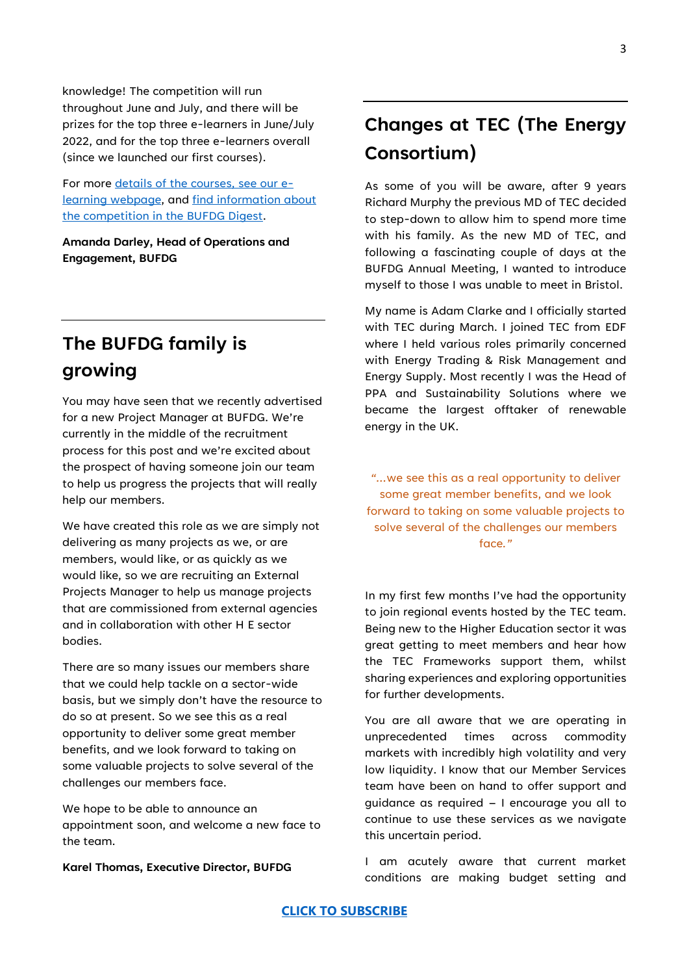knowledge! The competition will run throughout June and July, and there will be prizes for the top three e-learners in June/July 2022, and for the top three e-learners overall (since we launched our first courses).

For more [details of the courses, see our e](https://www.bufdg.ac.uk/learning/e-learning/)[learning webpage,](https://www.bufdg.ac.uk/learning/e-learning/) and [find information about](https://www.bufdg.ac.uk/news/bufdg-digest/)  [the competition in the BUFDG Digest.](https://www.bufdg.ac.uk/news/bufdg-digest/)

**Amanda Darley, Head of Operations and Engagement, BUFDG**

### **The BUFDG family is growing**

You may have seen that we recently advertised for a new Project Manager at BUFDG. We're currently in the middle of the recruitment process for this post and we're excited about the prospect of having someone join our team to help us progress the projects that will really help our members.

We have created this role as we are simply not delivering as many projects as we, or are members, would like, or as quickly as we would like, so we are recruiting an External Projects Manager to help us manage projects that are commissioned from external agencies and in collaboration with other H E sector bodies.

There are so many issues our members share that we could help tackle on a sector-wide basis, but we simply don't have the resource to do so at present. So we see this as a real opportunity to deliver some great member benefits, and we look forward to taking on some valuable projects to solve several of the challenges our members face.

We hope to be able to announce an appointment soon, and welcome a new face to the team.

**Karel Thomas, Executive Director, BUFDG**

## **Changes at TEC (The Energy Consortium)**

As some of you will be aware, after 9 years Richard Murphy the previous MD of TEC decided to step-down to allow him to spend more time with his family. As the new MD of TEC, and following a fascinating couple of days at the BUFDG Annual Meeting, I wanted to introduce myself to those I was unable to meet in Bristol.

My name is Adam Clarke and I officially started with TEC during March. I joined TEC from EDF where I held various roles primarily concerned with Energy Trading & Risk Management and Energy Supply. Most recently I was the Head of PPA and Sustainability Solutions where we became the largest offtaker of renewable energy in the UK.

*"…*we see this as a real opportunity to deliver some great member benefits, and we look forward to taking on some valuable projects to solve several of the challenges our members face*."*

In my first few months I've had the opportunity to join regional events hosted by the TEC team. Being new to the Higher Education sector it was great getting to meet members and hear how the TEC Frameworks support them, whilst sharing experiences and exploring opportunities for further developments.

You are all aware that we are operating in unprecedented times across commodity markets with incredibly high volatility and very low liquidity. I know that our Member Services team have been on hand to offer support and guidance as required – I encourage you all to continue to use these services as we navigate this uncertain period.

I am acutely aware that current market conditions are making budget setting and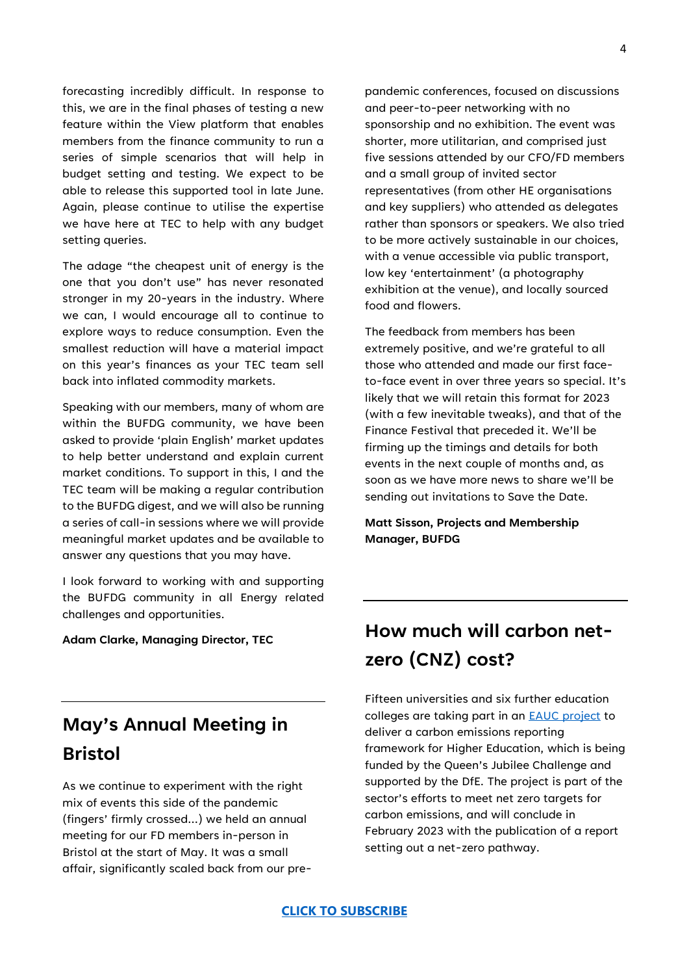forecasting incredibly difficult. In response to this, we are in the final phases of testing a new feature within the View platform that enables members from the finance community to run a series of simple scenarios that will help in budget setting and testing. We expect to be able to release this supported tool in late June. Again, please continue to utilise the expertise we have here at TEC to help with any budget setting queries.

The adage "the cheapest unit of energy is the one that you don't use" has never resonated stronger in my 20-years in the industry. Where we can, I would encourage all to continue to explore ways to reduce consumption. Even the smallest reduction will have a material impact on this year's finances as your TEC team sell back into inflated commodity markets.

Speaking with our members, many of whom are within the BUFDG community, we have been asked to provide 'plain English' market updates to help better understand and explain current market conditions. To support in this, I and the TEC team will be making a regular contribution to the BUFDG digest, and we will also be running a series of call-in sessions where we will provide meaningful market updates and be available to answer any questions that you may have.

I look forward to working with and supporting the BUFDG community in all Energy related challenges and opportunities.

**Adam Clarke, Managing Director, TEC**

### **May's Annual Meeting in Bristol**

As we continue to experiment with the right mix of events this side of the pandemic (fingers' firmly crossed…) we held an annual meeting for our FD members in-person in Bristol at the start of May. It was a small affair, significantly scaled back from our prepandemic conferences, focused on discussions and peer-to-peer networking with no sponsorship and no exhibition. The event was shorter, more utilitarian, and comprised just five sessions attended by our CFO/FD members and a small group of invited sector representatives (from other HE organisations and key suppliers) who attended as delegates rather than sponsors or speakers. We also tried to be more actively sustainable in our choices, with a venue accessible via public transport, low key 'entertainment' (a photography exhibition at the venue), and locally sourced food and flowers.

The feedback from members has been extremely positive, and we're grateful to all those who attended and made our first faceto-face event in over three years so special. It's likely that we will retain this format for 2023 (with a few inevitable tweaks), and that of the Finance Festival that preceded it. We'll be firming up the timings and details for both events in the next couple of months and, as soon as we have more news to share we'll be sending out invitations to Save the Date.

**Matt Sisson, Projects and Membership Manager, BUFDG**

## **How much will carbon netzero (CNZ) cost?**

Fifteen universities and six further education colleges are taking part in an [EAUC project](https://www.eauc.org.uk/queens_platinum_jubilee_challenge) to deliver a carbon emissions reporting framework for Higher Education, which is being funded by the Queen's Jubilee Challenge and supported by the DfE. The project is part of the sector's efforts to meet net zero targets for carbon emissions, and will conclude in February 2023 with the publication of a report setting out a net-zero pathway.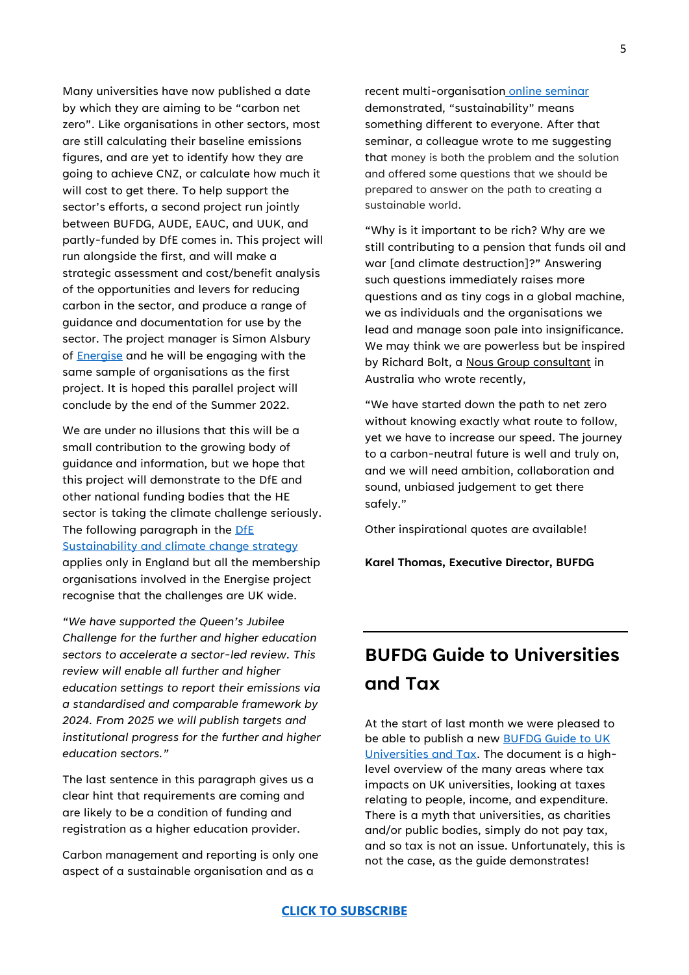Many universities have now published a date by which they are aiming to be "carbon net zero". Like organisations in other sectors, most are still calculating their baseline emissions figures, and are yet to identify how they are going to achieve CNZ, or calculate how much it will cost to get there. To help support the sector's efforts, a second project run jointly between BUFDG, AUDE, EAUC, and UUK, and partly-funded by DfE comes in. This project will run alongside the first, and will make a strategic assessment and cost/benefit analysis of the opportunities and levers for reducing carbon in the sector, and produce a range of guidance and documentation for use by the sector. The project manager is Simon Alsbury of [Energise](https://www.energise.com/) and he will be engaging with the same sample of organisations as the first project. It is hoped this parallel project will conclude by the end of the Summer 2022.

We are under no illusions that this will be a small contribution to the growing body of guidance and information, but we hope that this project will demonstrate to the DfE and other national funding bodies that the HE sector is taking the climate challenge seriously. The following paragraph in the [DfE](https://www.gov.uk/government/publications/sustainability-and-climate-change-strategy/sustainability-and-climate-change-a-strategy-for-the-education-and-childrens-services-systems)  [Sustainability and climate change strategy](https://www.gov.uk/government/publications/sustainability-and-climate-change-strategy/sustainability-and-climate-change-a-strategy-for-the-education-and-childrens-services-systems) applies only in England but all the membership organisations involved in the Energise project recognise that the challenges are UK wide.

*"We have supported the Queen's Jubilee Challenge for the further and higher education sectors to accelerate a sector-led review. This review will enable all further and higher education settings to report their emissions via a standardised and comparable framework by 2024. From 2025 we will publish targets and institutional progress for the further and higher education sectors."*

The last sentence in this paragraph gives us a clear hint that requirements are coming and are likely to be a condition of funding and registration as a higher education provider.

Carbon management and reporting is only one aspect of a sustainable organisation and as a

recent multi-organisation [online seminar](https://www.bufdg.ac.uk/Resources/News/View?g=a89ffcab-f419-4401-92f6-55a6bfa386ab&m=5&y=2022&t=University%20of%20the%20future%20-%20webinar%20recording) demonstrated, "sustainability" means something different to everyone. After that seminar, a colleague wrote to me suggesting that money is both the problem and the solution and offered some questions that we should be prepared to answer on the path to creating a sustainable world.

"Why is it important to be rich? Why are we still contributing to a pension that funds oil and war [and climate destruction]?" Answering such questions immediately raises more questions and as tiny cogs in a global machine, we as individuals and the organisations we lead and manage soon pale into insignificance. We may think we are powerless but be inspired by [Richard Bolt,](https://nousgroup.com/insights/race-carbon-neutral/) a [Nous Group](https://nousgroup.com/) consultant in Australia who wrote recently,

"We have started down the path to net zero without knowing exactly what route to follow, yet we have to increase our speed. The journey to a carbon-neutral future is well and truly on, and we will need ambition, collaboration and sound, unbiased judgement to get there safely."

Other inspirational quotes are available!

**Karel Thomas, Executive Director, BUFDG**

## **BUFDG Guide to Universities and Tax**

At the start of last month we were pleased to be able to publish a new **BUFDG Guide to UK** [Universities and Tax.](https://www.bufdg.ac.uk/ViewDocument.aspx?t=1&ID=15363&GUID=3007b2dc-bb6d-42f0-8fda-28a31cf16108&dl=1) The document is a highlevel overview of the many areas where tax impacts on UK universities, looking at taxes relating to people, income, and expenditure. There is a myth that universities, as charities and/or public bodies, simply do not pay tax, and so tax is not an issue. Unfortunately, this is not the case, as the guide demonstrates!